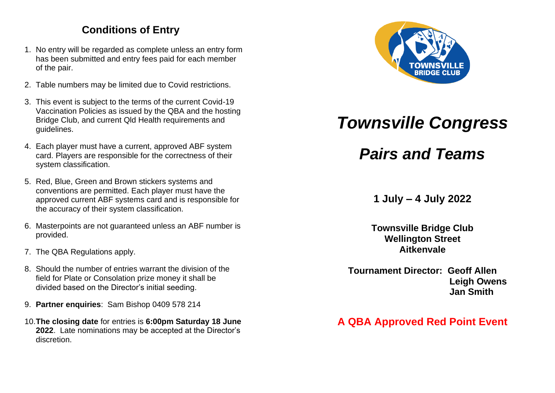# **Conditions of Entry**

- 1. No entry will be regarded as complete unless an entry form has been submitted and entry fees paid for each member of the pair.
- 2. Table numbers may be limited due to Covid restrictions.
- 3. This event is subject to the terms of the current Covid-19 Vaccination Policies as issued by the QBA and the hosting Bridge Club, and current Qld Health requirements and guidelines.
- 4. Each player must have a current, approved ABF system card. Players are responsible for the correctness of their system classification.
- 5. Red, Blue, Green and Brown stickers systems and conventions are permitted. Each player must have the approved current ABF systems card and is responsible for the accuracy of their system classification.
- 6. Masterpoints are not guaranteed unless an ABF number is provided.
- 7. The QBA Regulations apply.
- 8. Should the number of entries warrant the division of the field for Plate or Consolation prize money it shall be divided based on the Director's initial seeding.
- 9. **Partner enquiries**: Sam Bishop 0409 578 214
- 10.**The closing date** for entries is **6:00pm Saturday 18 June 2022**. Late nominations may be accepted at the Director's discretion.



# *Townsville Congress*

*Pairs and Teams*

**1 July – 4 July 2022**

**Townsville Bridge Club Wellington Street Aitkenvale**

**Tournament Director: Geoff Allen Leigh Owens Jan Smith**

# **A QBA Approved Red Point Event**